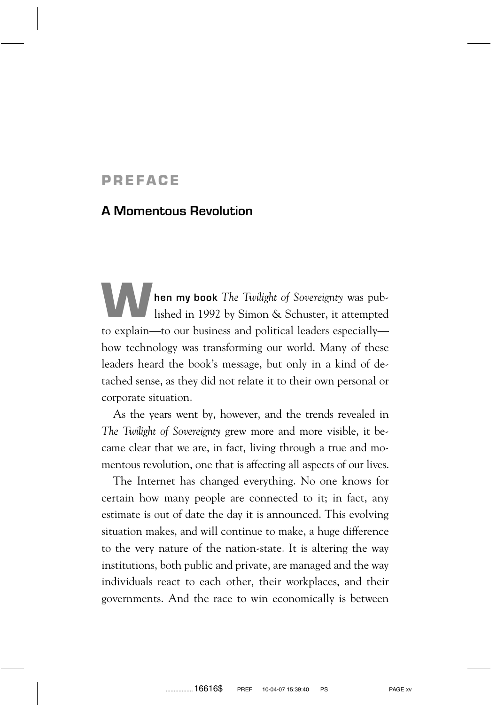## **PREFACE**

## **A Momentous Revolution**

**hen my book** *The Twilight of Sovereignty* was published in 1992 by Simon & Schuster, it attempted to explain—to our business and political leaders especially how technology was transforming our world. Many of these leaders heard the book's message, but only in a kind of detached sense, as they did not relate it to their own personal or corporate situation.

As the years went by, however, and the trends revealed in *The Twilight of Sovereignty* grew more and more visible, it became clear that we are, in fact, living through a true and momentous revolution, one that is affecting all aspects of our lives.

The Internet has changed everything. No one knows for certain how many people are connected to it; in fact, any estimate is out of date the day it is announced. This evolving situation makes, and will continue to make, a huge difference to the very nature of the nation-state. It is altering the way institutions, both public and private, are managed and the way individuals react to each other, their workplaces, and their governments. And the race to win economically is between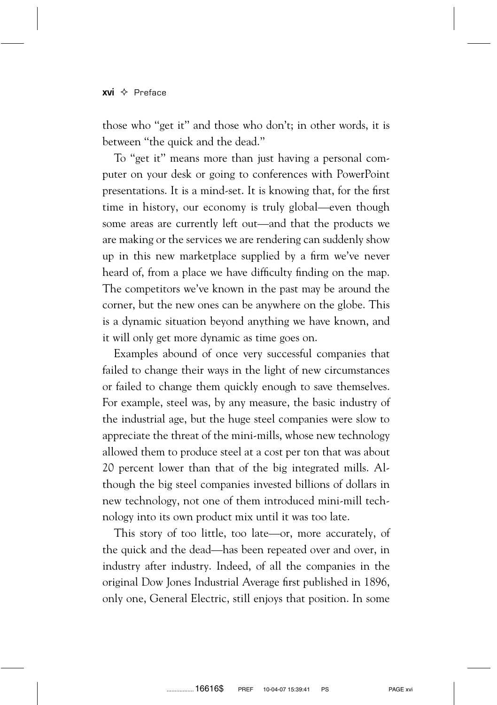## $xvi \Leftrightarrow$  Preface

those who ''get it'' and those who don't; in other words, it is between ''the quick and the dead.''

To "get it" means more than just having a personal computer on your desk or going to conferences with PowerPoint presentations. It is a mind-set. It is knowing that, for the first time in history, our economy is truly global—even though some areas are currently left out—and that the products we are making or the services we are rendering can suddenly show up in this new marketplace supplied by a firm we've never heard of, from a place we have difficulty finding on the map. The competitors we've known in the past may be around the corner, but the new ones can be anywhere on the globe. This is a dynamic situation beyond anything we have known, and it will only get more dynamic as time goes on.

Examples abound of once very successful companies that failed to change their ways in the light of new circumstances or failed to change them quickly enough to save themselves. For example, steel was, by any measure, the basic industry of the industrial age, but the huge steel companies were slow to appreciate the threat of the mini-mills, whose new technology allowed them to produce steel at a cost per ton that was about 20 percent lower than that of the big integrated mills. Although the big steel companies invested billions of dollars in new technology, not one of them introduced mini-mill technology into its own product mix until it was too late.

This story of too little, too late—or, more accurately, of the quick and the dead—has been repeated over and over, in industry after industry. Indeed, of all the companies in the original Dow Jones Industrial Average first published in 1896, only one, General Electric, still enjoys that position. In some